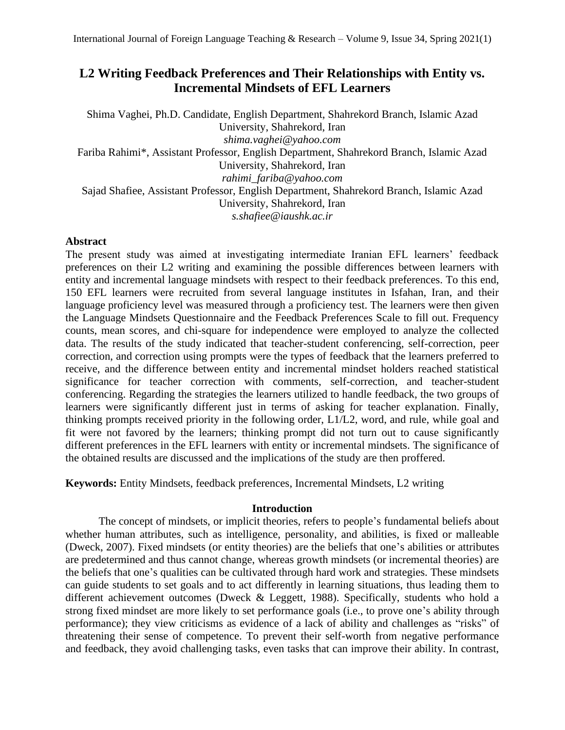# **L2 Writing Feedback Preferences and Their Relationships with Entity vs. Incremental Mindsets of EFL Learners**

Shima Vaghei, Ph.D. Candidate, English Department, Shahrekord Branch, Islamic Azad University, Shahrekord, Iran *shima.vaghei@yahoo.com* Fariba Rahimi\*, Assistant Professor, English Department, Shahrekord Branch, Islamic Azad University, Shahrekord, Iran *rahimi\_fariba@yahoo.com* Sajad Shafiee, Assistant Professor, English Department, Shahrekord Branch, Islamic Azad University, Shahrekord, Iran *s.shafiee@iaushk.ac.ir*

# **Abstract**

The present study was aimed at investigating intermediate Iranian EFL learners' feedback preferences on their L2 writing and examining the possible differences between learners with entity and incremental language mindsets with respect to their feedback preferences. To this end, 150 EFL learners were recruited from several language institutes in Isfahan, Iran, and their language proficiency level was measured through a proficiency test. The learners were then given the Language Mindsets Questionnaire and the Feedback Preferences Scale to fill out. Frequency counts, mean scores, and chi-square for independence were employed to analyze the collected data. The results of the study indicated that teacher-student conferencing, self-correction, peer correction, and correction using prompts were the types of feedback that the learners preferred to receive, and the difference between entity and incremental mindset holders reached statistical significance for teacher correction with comments, self-correction, and teacher-student conferencing. Regarding the strategies the learners utilized to handle feedback, the two groups of learners were significantly different just in terms of asking for teacher explanation. Finally, thinking prompts received priority in the following order, L1/L2, word, and rule, while goal and fit were not favored by the learners; thinking prompt did not turn out to cause significantly different preferences in the EFL learners with entity or incremental mindsets. The significance of the obtained results are discussed and the implications of the study are then proffered.

**Keywords:** Entity Mindsets, feedback preferences, Incremental Mindsets, L2 writing

# **Introduction**

The concept of mindsets, or implicit theories, refers to people's fundamental beliefs about whether human attributes, such as intelligence, personality, and abilities, is fixed or malleable (Dweck, 2007). Fixed mindsets (or entity theories) are the beliefs that one's abilities or attributes are predetermined and thus cannot change, whereas growth mindsets (or incremental theories) are the beliefs that one's qualities can be cultivated through hard work and strategies. These mindsets can guide students to set goals and to act differently in learning situations, thus leading them to different achievement outcomes (Dweck & Leggett, 1988). Specifically, students who hold a strong fixed mindset are more likely to set performance goals (i.e., to prove one's ability through performance); they view criticisms as evidence of a lack of ability and challenges as "risks" of threatening their sense of competence. To prevent their self-worth from negative performance and feedback, they avoid challenging tasks, even tasks that can improve their ability. In contrast,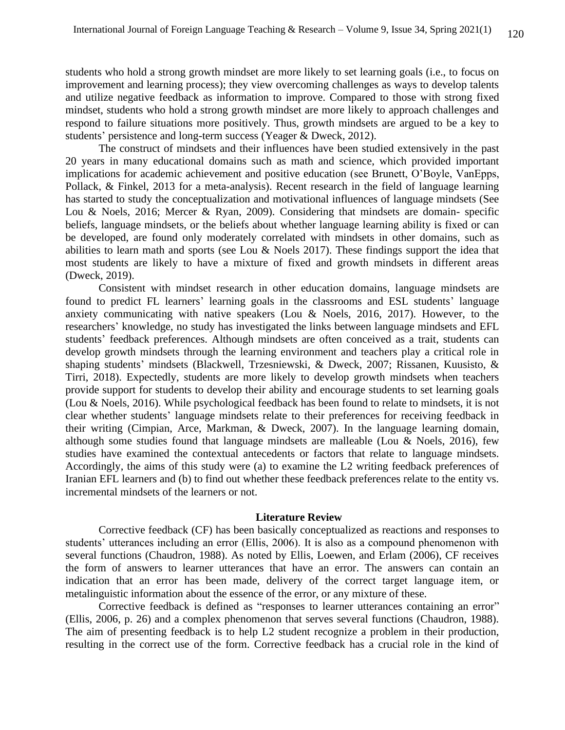students who hold a strong growth mindset are more likely to set learning goals (i.e., to focus on improvement and learning process); they view overcoming challenges as ways to develop talents and utilize negative feedback as information to improve. Compared to those with strong fixed mindset, students who hold a strong growth mindset are more likely to approach challenges and respond to failure situations more positively. Thus, growth mindsets are argued to be a key to students' persistence and long-term success (Yeager & Dweck, 2012).

The construct of mindsets and their influences have been studied extensively in the past 20 years in many educational domains such as math and science, which provided important implications for academic achievement and positive education (see Brunett, O'Boyle, VanEpps, Pollack, & Finkel, 2013 for a meta-analysis). Recent research in the field of language learning has started to study the conceptualization and motivational influences of language mindsets (See Lou & Noels, 2016; Mercer & Ryan, 2009). Considering that mindsets are domain- specific beliefs, language mindsets, or the beliefs about whether language learning ability is fixed or can be developed, are found only moderately correlated with mindsets in other domains, such as abilities to learn math and sports (see Lou & Noels 2017). These findings support the idea that most students are likely to have a mixture of fixed and growth mindsets in different areas (Dweck, 2019).

Consistent with mindset research in other education domains, language mindsets are found to predict FL learners' learning goals in the classrooms and ESL students' language anxiety communicating with native speakers (Lou & Noels, 2016, 2017). However, to the researchers' knowledge, no study has investigated the links between language mindsets and EFL students' feedback preferences. Although mindsets are often conceived as a trait, students can develop growth mindsets through the learning environment and teachers play a critical role in shaping students' mindsets (Blackwell, Trzesniewski, & Dweck, 2007; Rissanen, Kuusisto, & Tirri, 2018). Expectedly, students are more likely to develop growth mindsets when teachers provide support for students to develop their ability and encourage students to set learning goals (Lou & Noels, 2016). While psychological feedback has been found to relate to mindsets, it is not clear whether students' language mindsets relate to their preferences for receiving feedback in their writing (Cimpian, Arce, Markman, & Dweck, 2007). In the language learning domain, although some studies found that language mindsets are malleable (Lou & Noels, 2016), few studies have examined the contextual antecedents or factors that relate to language mindsets. Accordingly, the aims of this study were (a) to examine the L2 writing feedback preferences of Iranian EFL learners and (b) to find out whether these feedback preferences relate to the entity vs. incremental mindsets of the learners or not.

#### **Literature Review**

Corrective feedback (CF) has been basically conceptualized as reactions and responses to students' utterances including an error (Ellis, 2006). It is also as a compound phenomenon with several functions (Chaudron, 1988). As noted by Ellis, Loewen, and Erlam (2006), CF receives the form of answers to learner utterances that have an error. The answers can contain an indication that an error has been made, delivery of the correct target language item, or metalinguistic information about the essence of the error, or any mixture of these.

Corrective feedback is defined as "responses to learner utterances containing an error" (Ellis, 2006, p. 26) and a complex phenomenon that serves several functions (Chaudron, 1988). The aim of presenting feedback is to help L2 student recognize a problem in their production, resulting in the correct use of the form. Corrective feedback has a crucial role in the kind of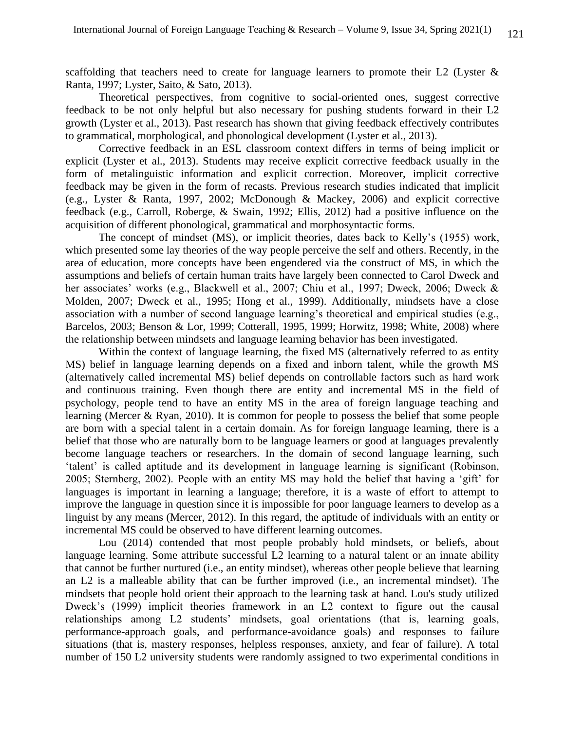scaffolding that teachers need to create for language learners to promote their L2 (Lyster  $\&$ Ranta, 1997; Lyster, Saito, & Sato, 2013).

Theoretical perspectives, from cognitive to social-oriented ones, suggest corrective feedback to be not only helpful but also necessary for pushing students forward in their L2 growth (Lyster et al., 2013). Past research has shown that giving feedback effectively contributes to grammatical, morphological, and phonological development (Lyster et al., 2013).

Corrective feedback in an ESL classroom context differs in terms of being implicit or explicit (Lyster et al., 2013). Students may receive explicit corrective feedback usually in the form of metalinguistic information and explicit correction. Moreover, implicit corrective feedback may be given in the form of recasts. Previous research studies indicated that implicit (e.g., Lyster & Ranta, 1997, 2002; McDonough & Mackey, 2006) and explicit corrective feedback (e.g., Carroll, Roberge, & Swain, 1992; Ellis, 2012) had a positive influence on the acquisition of different phonological, grammatical and morphosyntactic forms.

The concept of mindset (MS), or implicit theories, dates back to Kelly's (1955) work, which presented some lay theories of the way people perceive the self and others. Recently, in the area of education, more concepts have been engendered via the construct of MS, in which the assumptions and beliefs of certain human traits have largely been connected to Carol Dweck and her associates' works (e.g., Blackwell et al., 2007; Chiu et al., 1997; Dweck, 2006; Dweck & Molden, 2007; Dweck et al., 1995; Hong et al., 1999). Additionally, mindsets have a close association with a number of second language learning's theoretical and empirical studies (e.g., Barcelos, 2003; Benson & Lor, 1999; Cotterall, 1995, 1999; Horwitz, 1998; White, 2008) where the relationship between mindsets and language learning behavior has been investigated.

Within the context of language learning, the fixed MS (alternatively referred to as entity MS) belief in language learning depends on a fixed and inborn talent, while the growth MS (alternatively called incremental MS) belief depends on controllable factors such as hard work and continuous training. Even though there are entity and incremental MS in the field of psychology, people tend to have an entity MS in the area of foreign language teaching and learning (Mercer & Ryan, 2010). It is common for people to possess the belief that some people are born with a special talent in a certain domain. As for foreign language learning, there is a belief that those who are naturally born to be language learners or good at languages prevalently become language teachers or researchers. In the domain of second language learning, such 'talent' is called aptitude and its development in language learning is significant (Robinson, 2005; Sternberg, 2002). People with an entity MS may hold the belief that having a 'gift' for languages is important in learning a language; therefore, it is a waste of effort to attempt to improve the language in question since it is impossible for poor language learners to develop as a linguist by any means (Mercer, 2012). In this regard, the aptitude of individuals with an entity or incremental MS could be observed to have different learning outcomes.

Lou (2014) contended that most people probably hold mindsets, or beliefs, about language learning. Some attribute successful L2 learning to a natural talent or an innate ability that cannot be further nurtured (i.e., an entity mindset), whereas other people believe that learning an L2 is a malleable ability that can be further improved (i.e., an incremental mindset). The mindsets that people hold orient their approach to the learning task at hand. Lou's study utilized Dweck's (1999) implicit theories framework in an L2 context to figure out the causal relationships among L2 students' mindsets, goal orientations (that is, learning goals, performance-approach goals, and performance-avoidance goals) and responses to failure situations (that is, mastery responses, helpless responses, anxiety, and fear of failure). A total number of 150 L2 university students were randomly assigned to two experimental conditions in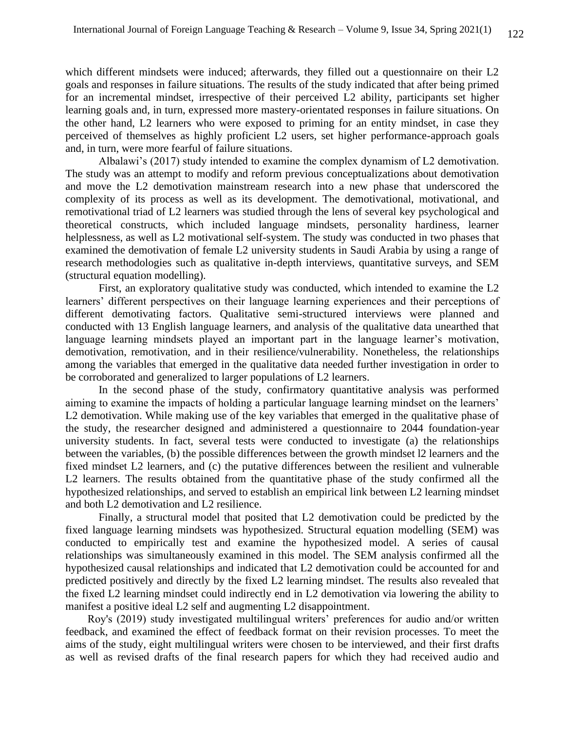which different mindsets were induced; afterwards, they filled out a questionnaire on their L2 goals and responses in failure situations. The results of the study indicated that after being primed for an incremental mindset, irrespective of their perceived L2 ability, participants set higher learning goals and, in turn, expressed more mastery-orientated responses in failure situations. On the other hand, L2 learners who were exposed to priming for an entity mindset, in case they perceived of themselves as highly proficient L2 users, set higher performance-approach goals and, in turn, were more fearful of failure situations.

Albalawi's (2017) study intended to examine the complex dynamism of L2 demotivation. The study was an attempt to modify and reform previous conceptualizations about demotivation and move the L2 demotivation mainstream research into a new phase that underscored the complexity of its process as well as its development. The demotivational, motivational, and remotivational triad of L2 learners was studied through the lens of several key psychological and theoretical constructs, which included language mindsets, personality hardiness, learner helplessness, as well as L2 motivational self-system. The study was conducted in two phases that examined the demotivation of female L2 university students in Saudi Arabia by using a range of research methodologies such as qualitative in-depth interviews, quantitative surveys, and SEM (structural equation modelling).

First, an exploratory qualitative study was conducted, which intended to examine the L2 learners' different perspectives on their language learning experiences and their perceptions of different demotivating factors. Qualitative semi-structured interviews were planned and conducted with 13 English language learners, and analysis of the qualitative data unearthed that language learning mindsets played an important part in the language learner's motivation, demotivation, remotivation, and in their resilience/vulnerability. Nonetheless, the relationships among the variables that emerged in the qualitative data needed further investigation in order to be corroborated and generalized to larger populations of L2 learners.

In the second phase of the study, confirmatory quantitative analysis was performed aiming to examine the impacts of holding a particular language learning mindset on the learners' L2 demotivation. While making use of the key variables that emerged in the qualitative phase of the study, the researcher designed and administered a questionnaire to 2044 foundation-year university students. In fact, several tests were conducted to investigate (a) the relationships between the variables, (b) the possible differences between the growth mindset l2 learners and the fixed mindset L2 learners, and (c) the putative differences between the resilient and vulnerable L2 learners. The results obtained from the quantitative phase of the study confirmed all the hypothesized relationships, and served to establish an empirical link between L2 learning mindset and both L2 demotivation and L2 resilience.

Finally, a structural model that posited that L2 demotivation could be predicted by the fixed language learning mindsets was hypothesized. Structural equation modelling (SEM) was conducted to empirically test and examine the hypothesized model. A series of causal relationships was simultaneously examined in this model. The SEM analysis confirmed all the hypothesized causal relationships and indicated that L2 demotivation could be accounted for and predicted positively and directly by the fixed L2 learning mindset. The results also revealed that the fixed L2 learning mindset could indirectly end in L2 demotivation via lowering the ability to manifest a positive ideal L2 self and augmenting L2 disappointment.

 Roy's (2019) study investigated multilingual writers' preferences for audio and/or written feedback, and examined the effect of feedback format on their revision processes. To meet the aims of the study, eight multilingual writers were chosen to be interviewed, and their first drafts as well as revised drafts of the final research papers for which they had received audio and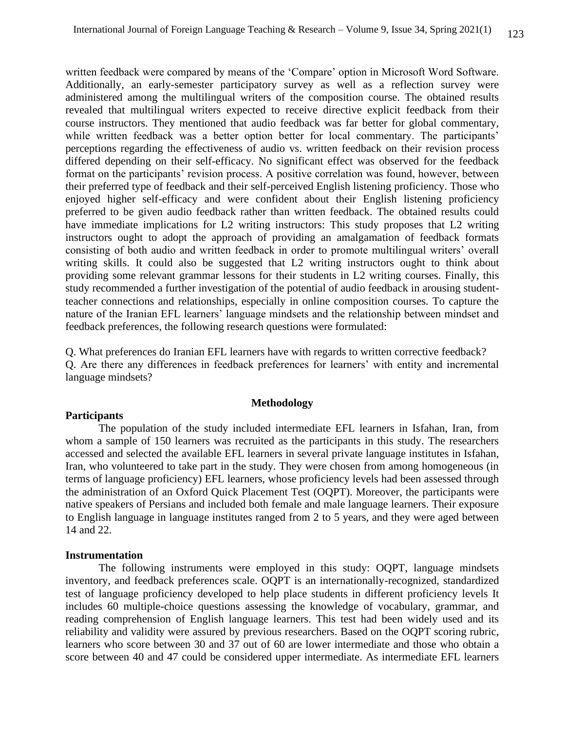written feedback were compared by means of the 'Compare' option in Microsoft Word Software. Additionally, an early-semester participatory survey as well as a reflection survey were administered among the multilingual writers of the composition course. The obtained results revealed that multilingual writers expected to receive directive explicit feedback from their course instructors. They mentioned that audio feedback was far better for global commentary, while written feedback was a better option better for local commentary. The participants' perceptions regarding the effectiveness of audio vs. written feedback on their revision process differed depending on their self-efficacy. No significant effect was observed for the feedback format on the participants' revision process. A positive correlation was found, however, between their preferred type of feedback and their self-perceived English listening proficiency. Those who enjoyed higher self-efficacy and were confident about their English listening proficiency preferred to be given audio feedback rather than written feedback. The obtained results could have immediate implications for L2 writing instructors: This study proposes that L2 writing instructors ought to adopt the approach of providing an amalgamation of feedback formats consisting of both audio and written feedback in order to promote multilingual writers' overall writing skills. It could also be suggested that L2 writing instructors ought to think about providing some relevant grammar lessons for their students in L2 writing courses. Finally, this study recommended a further investigation of the potential of audio feedback in arousing studentteacher connections and relationships, especially in online composition courses. To capture the nature of the Iranian EFL learners' language mindsets and the relationship between mindset and feedback preferences, the following research questions were formulated:

Q. What preferences do Iranian EFL learners have with regards to written corrective feedback? Q. Are there any differences in feedback preferences for learners' with entity and incremental language mindsets?

# **Methodology**

# **Participants**

The population of the study included intermediate EFL learners in Isfahan, Iran, from whom a sample of 150 learners was recruited as the participants in this study. The researchers accessed and selected the available EFL learners in several private language institutes in Isfahan, Iran, who volunteered to take part in the study. They were chosen from among homogeneous (in terms of language proficiency) EFL learners, whose proficiency levels had been assessed through the administration of an Oxford Quick Placement Test (OQPT). Moreover, the participants were native speakers of Persians and included both female and male language learners. Their exposure to English language in language institutes ranged from 2 to 5 years, and they were aged between 14 and 22.

#### **Instrumentation**

The following instruments were employed in this study: OQPT, language mindsets inventory, and feedback preferences scale. OQPT is an internationally-recognized, standardized test of language proficiency developed to help place students in different proficiency levels It includes 60 multiple-choice questions assessing the knowledge of vocabulary, grammar, and reading comprehension of English language learners. This test had been widely used and its reliability and validity were assured by previous researchers. Based on the OQPT scoring rubric, learners who score between 30 and 37 out of 60 are lower intermediate and those who obtain a score between 40 and 47 could be considered upper intermediate. As intermediate EFL learners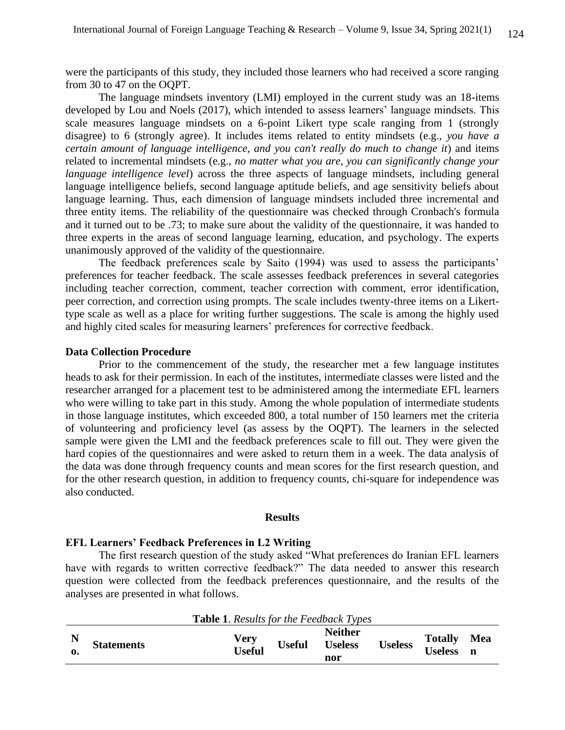were the participants of this study, they included those learners who had received a score ranging from 30 to 47 on the OQPT.

The language mindsets inventory (LMI) employed in the current study was an 18-items developed by Lou and Noels (2017), which intended to assess learners' language mindsets. This scale measures language mindsets on a 6-point Likert type scale ranging from 1 (strongly disagree) to 6 (strongly agree). It includes items related to entity mindsets (e.g., *you have a certain amount of language intelligence, and you can't really do much to change it*) and items related to incremental mindsets (e.g., *no matter what you are, you can significantly change your language intelligence level*) across the three aspects of language mindsets, including general language intelligence beliefs, second language aptitude beliefs, and age sensitivity beliefs about language learning. Thus, each dimension of language mindsets included three incremental and three entity items. The reliability of the questionnaire was checked through Cronbach's formula and it turned out to be .73; to make sure about the validity of the questionnaire, it was handed to three experts in the areas of second language learning, education, and psychology. The experts unanimously approved of the validity of the questionnaire.

The feedback preferences scale by Saito (1994) was used to assess the participants' preferences for teacher feedback. The scale assesses feedback preferences in several categories including teacher correction, comment, teacher correction with comment, error identification, peer correction, and correction using prompts. The scale includes twenty-three items on a Likerttype scale as well as a place for writing further suggestions. The scale is among the highly used and highly cited scales for measuring learners' preferences for corrective feedback.

# **Data Collection Procedure**

Prior to the commencement of the study, the researcher met a few language institutes heads to ask for their permission. In each of the institutes, intermediate classes were listed and the researcher arranged for a placement test to be administered among the intermediate EFL learners who were willing to take part in this study. Among the whole population of intermediate students in those language institutes, which exceeded 800, a total number of 150 learners met the criteria of volunteering and proficiency level (as assess by the OQPT). The learners in the selected sample were given the LMI and the feedback preferences scale to fill out. They were given the hard copies of the questionnaires and were asked to return them in a week. The data analysis of the data was done through frequency counts and mean scores for the first research question, and for the other research question, in addition to frequency counts, chi-square for independence was also conducted.

# **Results**

# **EFL Learners' Feedback Preferences in L2 Writing**

The first research question of the study asked "What preferences do Iranian EFL learners have with regards to written corrective feedback?" The data needed to answer this research question were collected from the feedback preferences questionnaire, and the results of the analyses are presented in what follows.

|                   | <b>Table 1.</b> Results for the Feedback Types |               |                                         |                |                                  |     |
|-------------------|------------------------------------------------|---------------|-----------------------------------------|----------------|----------------------------------|-----|
| <b>Statements</b> | Very<br><b>Useful</b>                          | <b>Useful</b> | <b>Neither</b><br><b>Useless</b><br>nor | <b>Useless</b> | <b>Totally</b><br><b>Useless</b> | Mea |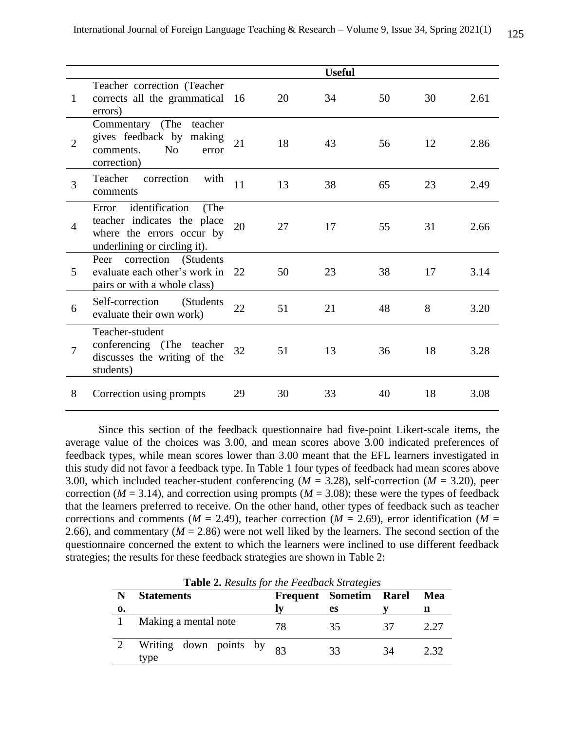|                |                                                                                                                             |    |    | <b>Useful</b> |    |    |      |
|----------------|-----------------------------------------------------------------------------------------------------------------------------|----|----|---------------|----|----|------|
| 1              | Teacher correction (Teacher<br>corrects all the grammatical 16<br>errors)                                                   |    | 20 | 34            | 50 | 30 | 2.61 |
| $\overline{2}$ | Commentary (The teacher<br>gives feedback by making<br>comments.<br>N <sub>0</sub><br>error<br>correction)                  | 21 | 18 | 43            | 56 | 12 | 2.86 |
| 3              | correction<br>Teacher<br>with<br>comments                                                                                   | 11 | 13 | 38            | 65 | 23 | 2.49 |
| $\overline{4}$ | identification<br>(The<br>Error<br>teacher indicates the place<br>where the errors occur by<br>underlining or circling it). | 20 | 27 | 17            | 55 | 31 | 2.66 |
| 5              | Peer correction (Students<br>evaluate each other's work in 22<br>pairs or with a whole class)                               |    | 50 | 23            | 38 | 17 | 3.14 |
| 6              | Self-correction<br>(Students)<br>evaluate their own work)                                                                   | 22 | 51 | 21            | 48 | 8  | 3.20 |
| $\overline{7}$ | Teacher-student<br>conferencing (The teacher<br>discusses the writing of the<br>students)                                   | 32 | 51 | 13            | 36 | 18 | 3.28 |
| 8              | Correction using prompts                                                                                                    | 29 | 30 | 33            | 40 | 18 | 3.08 |

Since this section of the feedback questionnaire had five-point Likert-scale items, the average value of the choices was 3.00, and mean scores above 3.00 indicated preferences of feedback types, while mean scores lower than 3.00 meant that the EFL learners investigated in this study did not favor a feedback type. In Table 1 four types of feedback had mean scores above 3.00, which included teacher-student conferencing (*M* = 3.28), self-correction (*M* = 3.20), peer correction ( $M = 3.14$ ), and correction using prompts ( $M = 3.08$ ); these were the types of feedback that the learners preferred to receive. On the other hand, other types of feedback such as teacher corrections and comments ( $M = 2.49$ ), teacher correction ( $M = 2.69$ ), error identification ( $M =$ 2.66), and commentary ( $M = 2.86$ ) were not well liked by the learners. The second section of the questionnaire concerned the extent to which the learners were inclined to use different feedback strategies; the results for these feedback strategies are shown in Table 2:

|    | <b>Table 2.</b> Results for the Feedback Strategies |    |                        |    |      |  |  |  |  |  |  |
|----|-----------------------------------------------------|----|------------------------|----|------|--|--|--|--|--|--|
| N  | <b>Statements</b>                                   |    | Frequent Sometim Rarel |    | Mea  |  |  |  |  |  |  |
| 0. |                                                     |    | es                     |    | n    |  |  |  |  |  |  |
|    | Making a mental note                                | 78 | 35                     | 37 | 2.27 |  |  |  |  |  |  |
| 2  | Writing down points by $_{83}$<br>type              |    | 33                     | 34 | 2.32 |  |  |  |  |  |  |

**Table 2.** *Results for the Feedback Strategies*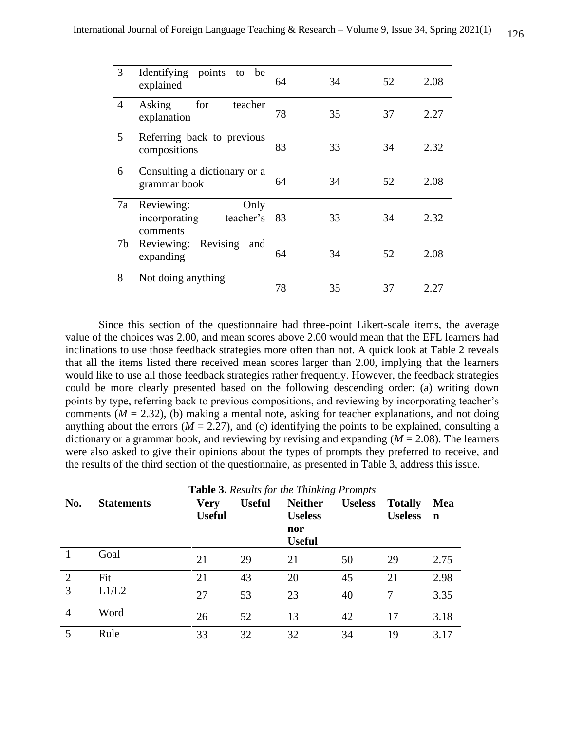| 3  | Identifying points<br>be<br>to<br>explained                  | 64   | 34 | 52 | 2.08 |
|----|--------------------------------------------------------------|------|----|----|------|
| 4  | Asking<br>for<br>teacher<br>explanation                      | 78   | 35 | 37 | 2.27 |
| 5  | Referring back to previous<br>compositions                   | 83   | 33 | 34 | 2.32 |
| 6  | Consulting a dictionary or a<br>grammar book                 | 64   | 34 | 52 | 2.08 |
| 7a | Reviewing:<br>Only<br>incorporating<br>teacher's<br>comments | - 83 | 33 | 34 | 2.32 |
| 7b | Reviewing: Revising<br>and<br>expanding                      | 64   | 34 | 52 | 2.08 |
| 8  | Not doing anything                                           | 78   | 35 | 37 | 2.27 |

Since this section of the questionnaire had three-point Likert-scale items, the average value of the choices was 2.00, and mean scores above 2.00 would mean that the EFL learners had inclinations to use those feedback strategies more often than not. A quick look at Table 2 reveals that all the items listed there received mean scores larger than 2.00, implying that the learners would like to use all those feedback strategies rather frequently. However, the feedback strategies could be more clearly presented based on the following descending order: (a) writing down points by type, referring back to previous compositions, and reviewing by incorporating teacher's comments  $(M = 2.32)$ , (b) making a mental note, asking for teacher explanations, and not doing anything about the errors ( $M = 2.27$ ), and (c) identifying the points to be explained, consulting a dictionary or a grammar book, and reviewing by revising and expanding  $(M = 2.08)$ . The learners were also asked to give their opinions about the types of prompts they preferred to receive, and the results of the third section of the questionnaire, as presented in Table 3, address this issue.

|                | <b>Table 3.</b> Results for the Thinking Prompts |               |               |                |                |                |      |  |  |  |  |
|----------------|--------------------------------------------------|---------------|---------------|----------------|----------------|----------------|------|--|--|--|--|
| No.            | <b>Statements</b>                                | <b>Very</b>   | <b>Useful</b> | <b>Neither</b> | <b>Useless</b> | <b>Totally</b> | Mea  |  |  |  |  |
|                |                                                  | <b>Useful</b> |               | <b>Useless</b> |                | <b>Useless</b> | n    |  |  |  |  |
|                |                                                  |               |               | nor            |                |                |      |  |  |  |  |
|                |                                                  |               |               | <b>Useful</b>  |                |                |      |  |  |  |  |
|                | Goal                                             | 21            | 29            | 21             | 50             | 29             | 2.75 |  |  |  |  |
| 2              | Fit                                              | 21            | 43            | 20             | 45             | 21             | 2.98 |  |  |  |  |
| 3              | L1/L2                                            | 27            | 53            | 23             | 40             | 7              | 3.35 |  |  |  |  |
| $\overline{4}$ | Word                                             | 26            | 52            | 13             | 42             | 17             | 3.18 |  |  |  |  |
| 5              | Rule                                             | 33            | 32            | 32             | 34             | 19             | 3.17 |  |  |  |  |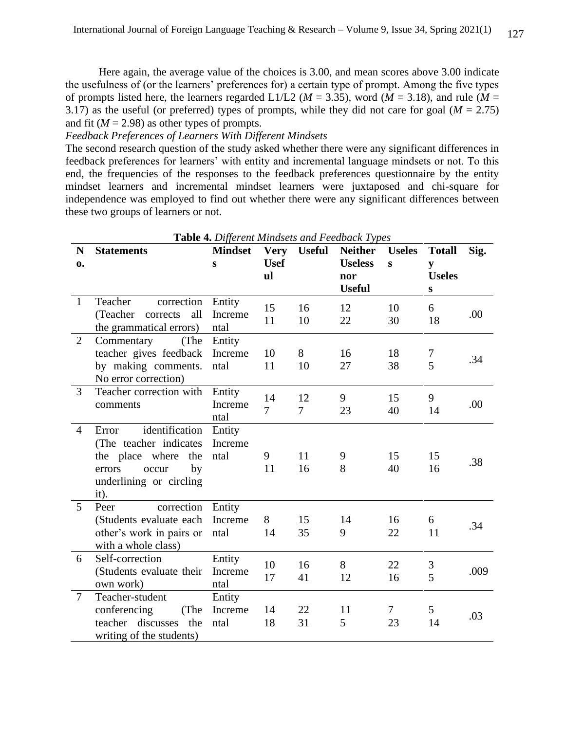Here again, the average value of the choices is 3.00, and mean scores above 3.00 indicate the usefulness of (or the learners' preferences for) a certain type of prompt. Among the five types of prompts listed here, the learners regarded L1/L2 ( $M = 3.35$ ), word ( $M = 3.18$ ), and rule ( $M =$ 3.17) as the useful (or preferred) types of prompts, while they did not care for goal ( $M = 2.75$ ) and fit ( $M = 2.98$ ) as other types of prompts.

# *Feedback Preferences of Learners With Different Mindsets*

The second research question of the study asked whether there were any significant differences in feedback preferences for learners' with entity and incremental language mindsets or not. To this end, the frequencies of the responses to the feedback preferences questionnaire by the entity mindset learners and incremental mindset learners were juxtaposed and chi-square for independence was employed to find out whether there were any significant differences between these two groups of learners or not.

| N              | <b>Statements</b>                                                                                                                       | <b>Mindset</b>            | <b>Very</b>          | <b>Useful</b>        | <b>Neither</b>       | <b>Useles</b> | <b>Totall</b>        | Sig. |
|----------------|-----------------------------------------------------------------------------------------------------------------------------------------|---------------------------|----------------------|----------------------|----------------------|---------------|----------------------|------|
| 0.             |                                                                                                                                         | S                         | <b>Usef</b>          |                      | <b>Useless</b>       | S             | y                    |      |
|                |                                                                                                                                         |                           | ul                   |                      | nor<br><b>Useful</b> |               | <b>Useles</b>        |      |
| $\mathbf{1}$   | correction<br>Teacher<br>all<br>(Teacher)<br>corrects<br>the grammatical errors)                                                        | Entity<br>Increme<br>ntal | 15<br>11             | 16<br>10             | 12<br>22             | 10<br>30      | ${\bf S}$<br>6<br>18 | .00  |
| $\overline{2}$ | Commentary<br>(The<br>teacher gives feedback<br>by making comments.<br>No error correction)                                             | Entity<br>Increme<br>ntal | 10<br>11             | 8<br>10              | 16<br>27             | 18<br>38      | $\tau$<br>5          | .34  |
| 3              | Teacher correction with<br>comments                                                                                                     | Entity<br>Increme<br>ntal | 14<br>$\overline{7}$ | 12<br>$\overline{7}$ | 9<br>23              | 15<br>40      | 9<br>14              | .00  |
| $\overline{4}$ | identification<br>Error<br>(The teacher indicates<br>the place where<br>the<br>by<br>errors<br>occur<br>underlining or circling<br>it). | Entity<br>Increme<br>ntal | 9<br>11              | 11<br>16             | 9<br>8               | 15<br>40      | 15<br>16             | .38  |
| 5              | Peer<br>correction<br>(Students evaluate each<br>other's work in pairs or<br>with a whole class)                                        | Entity<br>Increme<br>ntal | 8<br>14              | 15<br>35             | 14<br>9              | 16<br>22      | 6<br>11              | .34  |
| 6              | Self-correction<br>(Students evaluate their<br>own work)                                                                                | Entity<br>Increme<br>ntal | 10<br>17             | 16<br>41             | 8<br>12              | 22<br>16      | $\mathfrak{Z}$<br>5  | .009 |
| $\overline{7}$ | Teacher-student<br>conferencing<br>(The<br>teacher discusses<br>the<br>writing of the students)                                         | Entity<br>Increme<br>ntal | 14<br>18             | 22<br>31             | 11<br>5              | $\tau$<br>23  | 5<br>14              | .03  |

**Table 4.** *Different Mindsets and Feedback Types*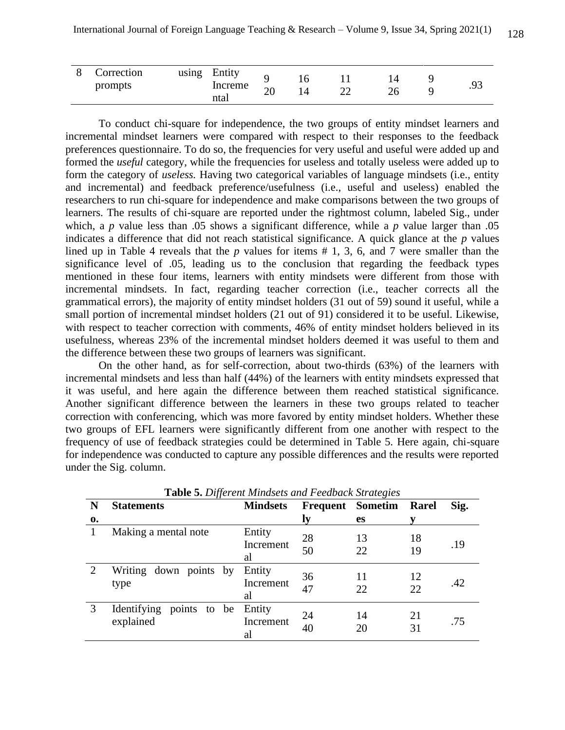|  | <b>Correction</b><br>prompts | using | Entity<br>Increme<br>ntal | ∠∪ | Ψ | ∠∠ | ∠∪ |  | . |
|--|------------------------------|-------|---------------------------|----|---|----|----|--|---|
|--|------------------------------|-------|---------------------------|----|---|----|----|--|---|

To conduct chi-square for independence, the two groups of entity mindset learners and incremental mindset learners were compared with respect to their responses to the feedback preferences questionnaire. To do so, the frequencies for very useful and useful were added up and formed the *useful* category, while the frequencies for useless and totally useless were added up to form the category of *useless.* Having two categorical variables of language mindsets (i.e., entity and incremental) and feedback preference/usefulness (i.e., useful and useless) enabled the researchers to run chi-square for independence and make comparisons between the two groups of learners. The results of chi-square are reported under the rightmost column, labeled Sig., under which, a *p* value less than .05 shows a significant difference, while a *p* value larger than .05 indicates a difference that did not reach statistical significance. A quick glance at the *p* values lined up in Table 4 reveals that the *p* values for items # 1, 3, 6, and 7 were smaller than the significance level of .05, leading us to the conclusion that regarding the feedback types mentioned in these four items, learners with entity mindsets were different from those with incremental mindsets. In fact, regarding teacher correction (i.e., teacher corrects all the grammatical errors), the majority of entity mindset holders (31 out of 59) sound it useful, while a small portion of incremental mindset holders (21 out of 91) considered it to be useful. Likewise, with respect to teacher correction with comments, 46% of entity mindset holders believed in its usefulness, whereas 23% of the incremental mindset holders deemed it was useful to them and the difference between these two groups of learners was significant.

On the other hand, as for self-correction, about two-thirds (63%) of the learners with incremental mindsets and less than half (44%) of the learners with entity mindsets expressed that it was useful, and here again the difference between them reached statistical significance. Another significant difference between the learners in these two groups related to teacher correction with conferencing, which was more favored by entity mindset holders. Whether these two groups of EFL learners were significantly different from one another with respect to the frequency of use of feedback strategies could be determined in Table 5. Here again, chi-square for independence was conducted to capture any possible differences and the results were reported under the Sig. column.

|                             | <b>Lable 5.</b> Different Minasets and Feedback Strategies |                 |    |                         |       |      |  |  |  |  |  |
|-----------------------------|------------------------------------------------------------|-----------------|----|-------------------------|-------|------|--|--|--|--|--|
| N                           | <b>Statements</b>                                          | <b>Mindsets</b> |    | <b>Frequent</b> Sometim | Rarel | Sig. |  |  |  |  |  |
| 0.                          |                                                            |                 | ly | <b>es</b>               |       |      |  |  |  |  |  |
|                             | Making a mental note                                       | Entity          | 28 | 13                      | 18    |      |  |  |  |  |  |
|                             |                                                            | Increment       |    |                         |       | .19  |  |  |  |  |  |
|                             |                                                            | al              | 50 | 22                      | 19    |      |  |  |  |  |  |
| $\mathcal{D}_{\mathcal{L}}$ | Writing down points by                                     | Entity          | 36 | 11                      | 12    |      |  |  |  |  |  |
|                             | type                                                       | Increment       |    |                         |       | .42  |  |  |  |  |  |
|                             |                                                            | al              | 47 | 22                      | 22    |      |  |  |  |  |  |
| 3                           | Identifying points to be Entity                            |                 | 24 | 14                      | 21    |      |  |  |  |  |  |
|                             | explained                                                  | Increment       |    |                         |       | .75  |  |  |  |  |  |
|                             |                                                            | al              | 40 | 20                      | 31    |      |  |  |  |  |  |
|                             |                                                            |                 |    |                         |       |      |  |  |  |  |  |

**Table 5.** *Different Mindsets and Feedback Strategies*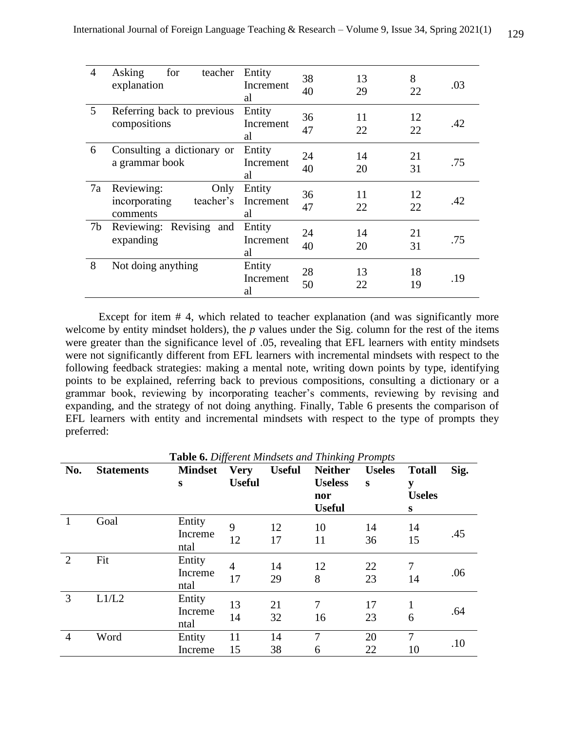| $\overline{4}$ | Asking<br>teacher<br>for<br>explanation                      | Entity<br>Increment<br>al | 38<br>40 | 13<br>29 | 8<br>22  | .03 |
|----------------|--------------------------------------------------------------|---------------------------|----------|----------|----------|-----|
| 5              | Referring back to previous<br>compositions                   | Entity<br>Increment<br>al | 36<br>47 | 11<br>22 | 12<br>22 | .42 |
| 6              | Consulting a dictionary or<br>a grammar book                 | Entity<br>Increment<br>al | 24<br>40 | 14<br>20 | 21<br>31 | .75 |
| 7a             | Reviewing:<br>Only<br>teacher's<br>incorporating<br>comments | Entity<br>Increment<br>al | 36<br>47 | 11<br>22 | 12<br>22 | .42 |
| 7b             | Reviewing: Revising<br>and<br>expanding                      | Entity<br>Increment<br>al | 24<br>40 | 14<br>20 | 21<br>31 | .75 |
| 8              | Not doing anything                                           | Entity<br>Increment<br>al | 28<br>50 | 13<br>22 | 18<br>19 | .19 |

Except for item # 4, which related to teacher explanation (and was significantly more welcome by entity mindset holders), the *p* values under the Sig. column for the rest of the items were greater than the significance level of .05, revealing that EFL learners with entity mindsets were not significantly different from EFL learners with incremental mindsets with respect to the following feedback strategies: making a mental note, writing down points by type, identifying points to be explained, referring back to previous compositions, consulting a dictionary or a grammar book, reviewing by incorporating teacher's comments, reviewing by revising and expanding, and the strategy of not doing anything. Finally, Table 6 presents the comparison of EFL learners with entity and incremental mindsets with respect to the type of prompts they preferred:

| No.            | <b>Statements</b> | <b>Mindset</b> | <b>Very</b>    | <b>Useful</b> | <b>Neither</b> | <b>Useles</b> | <b>Totall</b>  | Sig. |
|----------------|-------------------|----------------|----------------|---------------|----------------|---------------|----------------|------|
|                |                   | S              | <b>Useful</b>  |               | <b>Useless</b> | S             | y              |      |
|                |                   |                |                |               | nor            |               | <b>Useles</b>  |      |
|                |                   |                |                |               | <b>Useful</b>  |               | S              |      |
| 1              | Goal              | Entity         | 9              | 12            | 10             | 14            | 14             |      |
|                |                   | Increme        | 12             |               |                |               |                | .45  |
|                |                   | ntal           |                | 17            | 11             | 36            | 15             |      |
| $\overline{2}$ | Fit               | Entity         | $\overline{4}$ | 14            | 12             | 22            | $\overline{7}$ |      |
|                |                   | Increme        |                |               |                |               |                | .06  |
|                |                   | ntal           | 17             | 29            | 8              | 23            | 14             |      |
| 3              | L1/L2             | Entity         |                |               | 7              |               |                |      |
|                |                   | Increme        | 13             | 21            |                | 17            |                | .64  |
|                |                   | ntal           | 14             | 32            | 16             | 23            | 6              |      |
| $\overline{4}$ | Word              | Entity         | 11             | 14            | 7              | 20            | $\overline{7}$ | .10  |
|                |                   | Increme        | 15             | 38            | 6              | 22            | 10             |      |

**Table 6.** *Different Mindsets and Thinking Prompts*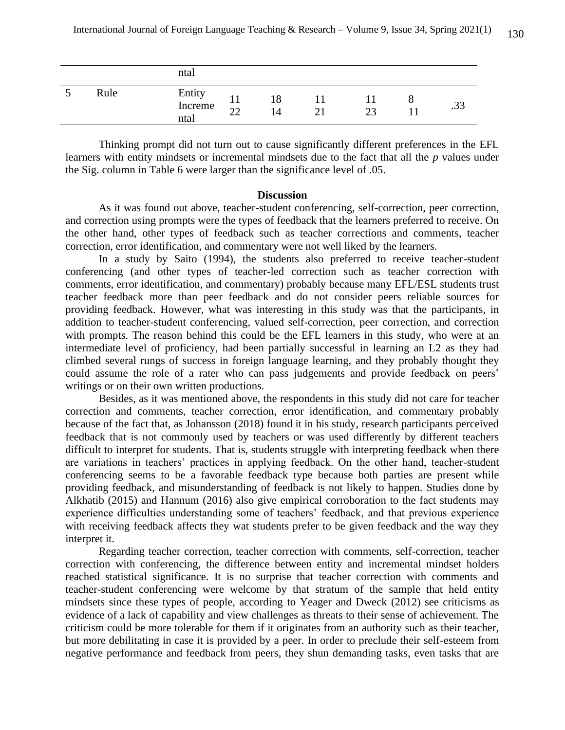|   |      | ntal                      |                          |                      |    |    |   |     |
|---|------|---------------------------|--------------------------|----------------------|----|----|---|-----|
| ب | Rule | Entity<br>Increme<br>ntal | $\mathbf{r}$<br>າາ<br>∠∠ | 18<br>$\overline{A}$ | ∠⊥ | ົາ | с | .ر. |

Thinking prompt did not turn out to cause significantly different preferences in the EFL learners with entity mindsets or incremental mindsets due to the fact that all the *p* values under the Sig. column in Table 6 were larger than the significance level of .05.

# **Discussion**

As it was found out above, teacher-student conferencing, self-correction, peer correction, and correction using prompts were the types of feedback that the learners preferred to receive. On the other hand, other types of feedback such as teacher corrections and comments, teacher correction, error identification, and commentary were not well liked by the learners.

In a study by Saito (1994), the students also preferred to receive teacher-student conferencing (and other types of teacher-led correction such as teacher correction with comments, error identification, and commentary) probably because many EFL/ESL students trust teacher feedback more than peer feedback and do not consider peers reliable sources for providing feedback. However, what was interesting in this study was that the participants, in addition to teacher-student conferencing, valued self-correction, peer correction, and correction with prompts. The reason behind this could be the EFL learners in this study, who were at an intermediate level of proficiency, had been partially successful in learning an L2 as they had climbed several rungs of success in foreign language learning, and they probably thought they could assume the role of a rater who can pass judgements and provide feedback on peers' writings or on their own written productions.

Besides, as it was mentioned above, the respondents in this study did not care for teacher correction and comments, teacher correction, error identification, and commentary probably because of the fact that, as Johansson (2018) found it in his study, research participants perceived feedback that is not commonly used by teachers or was used differently by different teachers difficult to interpret for students. That is, students struggle with interpreting feedback when there are variations in teachers' practices in applying feedback. On the other hand, teacher-student conferencing seems to be a favorable feedback type because both parties are present while providing feedback, and misunderstanding of feedback is not likely to happen. Studies done by Alkhatib (2015) and Hannum (2016) also give empirical corroboration to the fact students may experience difficulties understanding some of teachers' feedback, and that previous experience with receiving feedback affects they wat students prefer to be given feedback and the way they interpret it.

Regarding teacher correction, teacher correction with comments, self-correction, teacher correction with conferencing, the difference between entity and incremental mindset holders reached statistical significance. It is no surprise that teacher correction with comments and teacher-student conferencing were welcome by that stratum of the sample that held entity mindsets since these types of people, according to Yeager and Dweck (2012) see criticisms as evidence of a lack of capability and view challenges as threats to their sense of achievement. The criticism could be more tolerable for them if it originates from an authority such as their teacher, but more debilitating in case it is provided by a peer. In order to preclude their self-esteem from negative performance and feedback from peers, they shun demanding tasks, even tasks that are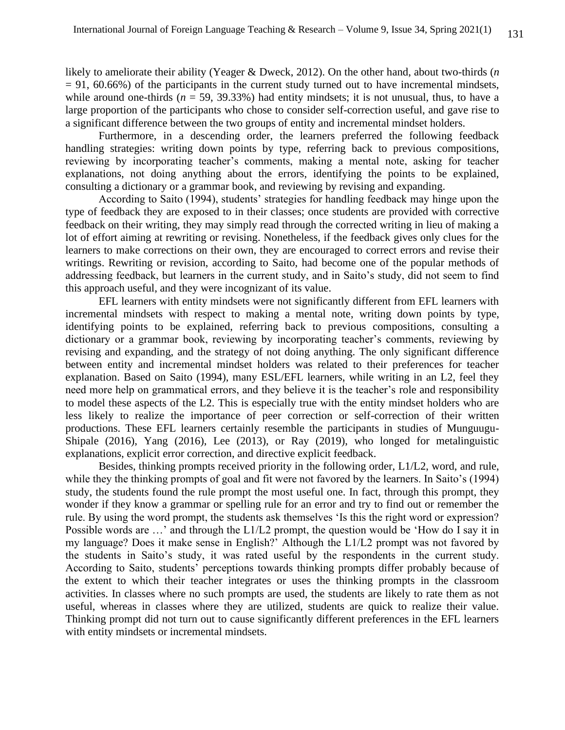likely to ameliorate their ability (Yeager & Dweck, 2012). On the other hand, about two-thirds (*n*   $= 91, 60.66\%$ ) of the participants in the current study turned out to have incremental mindsets, while around one-thirds ( $n = 59$ , 39.33%) had entity mindsets; it is not unusual, thus, to have a large proportion of the participants who chose to consider self-correction useful, and gave rise to a significant difference between the two groups of entity and incremental mindset holders.

Furthermore, in a descending order, the learners preferred the following feedback handling strategies: writing down points by type, referring back to previous compositions, reviewing by incorporating teacher's comments, making a mental note, asking for teacher explanations, not doing anything about the errors, identifying the points to be explained, consulting a dictionary or a grammar book, and reviewing by revising and expanding.

According to Saito (1994), students' strategies for handling feedback may hinge upon the type of feedback they are exposed to in their classes; once students are provided with corrective feedback on their writing, they may simply read through the corrected writing in lieu of making a lot of effort aiming at rewriting or revising. Nonetheless, if the feedback gives only clues for the learners to make corrections on their own, they are encouraged to correct errors and revise their writings. Rewriting or revision, according to Saito, had become one of the popular methods of addressing feedback, but learners in the current study, and in Saito's study, did not seem to find this approach useful, and they were incognizant of its value.

EFL learners with entity mindsets were not significantly different from EFL learners with incremental mindsets with respect to making a mental note, writing down points by type, identifying points to be explained, referring back to previous compositions, consulting a dictionary or a grammar book, reviewing by incorporating teacher's comments, reviewing by revising and expanding, and the strategy of not doing anything. The only significant difference between entity and incremental mindset holders was related to their preferences for teacher explanation. Based on Saito (1994), many ESL/EFL learners, while writing in an L2, feel they need more help on grammatical errors, and they believe it is the teacher's role and responsibility to model these aspects of the L2. This is especially true with the entity mindset holders who are less likely to realize the importance of peer correction or self-correction of their written productions. These EFL learners certainly resemble the participants in studies of Munguugu-Shipale (2016), Yang (2016), Lee (2013), or Ray (2019), who longed for metalinguistic explanations, explicit error correction, and directive explicit feedback.

Besides, thinking prompts received priority in the following order, L1/L2, word, and rule, while they the thinking prompts of goal and fit were not favored by the learners. In Saito's (1994) study, the students found the rule prompt the most useful one. In fact, through this prompt, they wonder if they know a grammar or spelling rule for an error and try to find out or remember the rule. By using the word prompt, the students ask themselves 'Is this the right word or expression? Possible words are …' and through the L1/L2 prompt, the question would be 'How do I say it in my language? Does it make sense in English?' Although the L1/L2 prompt was not favored by the students in Saito's study, it was rated useful by the respondents in the current study. According to Saito, students' perceptions towards thinking prompts differ probably because of the extent to which their teacher integrates or uses the thinking prompts in the classroom activities. In classes where no such prompts are used, the students are likely to rate them as not useful, whereas in classes where they are utilized, students are quick to realize their value. Thinking prompt did not turn out to cause significantly different preferences in the EFL learners with entity mindsets or incremental mindsets.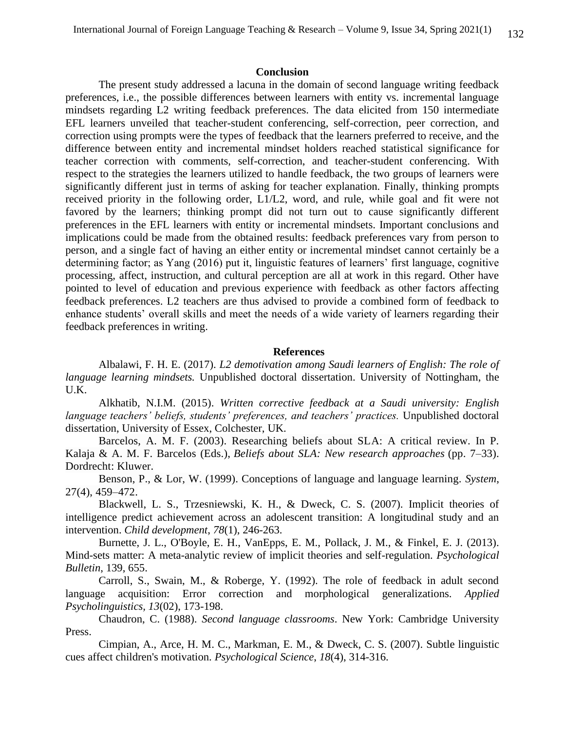# **Conclusion**

The present study addressed a lacuna in the domain of second language writing feedback preferences, i.e., the possible differences between learners with entity vs. incremental language mindsets regarding L2 writing feedback preferences. The data elicited from 150 intermediate EFL learners unveiled that teacher-student conferencing, self-correction, peer correction, and correction using prompts were the types of feedback that the learners preferred to receive, and the difference between entity and incremental mindset holders reached statistical significance for teacher correction with comments, self-correction, and teacher-student conferencing. With respect to the strategies the learners utilized to handle feedback, the two groups of learners were significantly different just in terms of asking for teacher explanation. Finally, thinking prompts received priority in the following order, L1/L2, word, and rule, while goal and fit were not favored by the learners; thinking prompt did not turn out to cause significantly different preferences in the EFL learners with entity or incremental mindsets. Important conclusions and implications could be made from the obtained results: feedback preferences vary from person to person, and a single fact of having an either entity or incremental mindset cannot certainly be a determining factor; as Yang (2016) put it, linguistic features of learners' first language, cognitive processing, affect, instruction, and cultural perception are all at work in this regard. Other have pointed to level of education and previous experience with feedback as other factors affecting feedback preferences. L2 teachers are thus advised to provide a combined form of feedback to enhance students' overall skills and meet the needs of a wide variety of learners regarding their feedback preferences in writing.

# **References**

Albalawi, F. H. E. (2017). *L2 demotivation among Saudi learners of English: The role of language learning mindsets.* Unpublished doctoral dissertation. University of Nottingham, the U.K.

Alkhatib, N.I.M. (2015). *Written corrective feedback at a Saudi university: English language teachers' beliefs, students' preferences, and teachers' practices.* Unpublished doctoral dissertation, University of Essex, Colchester, UK.

Barcelos, A. M. F. (2003). Researching beliefs about SLA: A critical review. In P. Kalaja & A. M. F. Barcelos (Eds.), *Beliefs about SLA: New research approaches* (pp. 7–33). Dordrecht: Kluwer.

Benson, P., & Lor, W. (1999). Conceptions of language and language learning. *System*, 27(4), 459–472.

Blackwell, L. S., Trzesniewski, K. H., & Dweck, C. S. (2007). Implicit theories of intelligence predict achievement across an adolescent transition: A longitudinal study and an intervention. *Child development*, *78*(1), 246-263.

Burnette, J. L., O'Boyle, E. H., VanEpps, E. M., Pollack, J. M., & Finkel, E. J. (2013). Mind-sets matter: A meta-analytic review of implicit theories and self-regulation. *Psychological Bulletin*, 139, 655.

Carroll, S., Swain, M., & Roberge, Y. (1992). The role of feedback in adult second language acquisition: Error correction and morphological generalizations. *Applied Psycholinguistics, 13*(02), 173-198.

Chaudron, C. (1988). *Second language classrooms*. New York: Cambridge University Press.

Cimpian, A., Arce, H. M. C., Markman, E. M., & Dweck, C. S. (2007). Subtle linguistic cues affect children's motivation. *Psychological Science*, *18*(4), 314-316.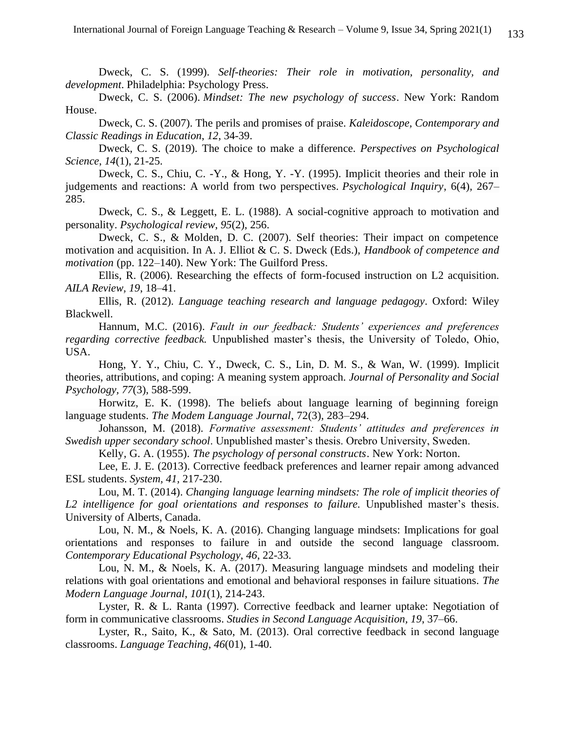Dweck, C. S. (1999). *Self-theories: Their role in motivation, personality, and development*. Philadelphia: Psychology Press.

Dweck, C. S. (2006). *Mindset: The new psychology of success*. New York: Random House.

Dweck, C. S. (2007). The perils and promises of praise. *Kaleidoscope, Contemporary and Classic Readings in Education*, *12*, 34-39.

Dweck, C. S. (2019). The choice to make a difference. *Perspectives on Psychological Science*, *14*(1), 21-25.

Dweck, C. S., Chiu, C. -Y., & Hong, Y. -Y. (1995). Implicit theories and their role in judgements and reactions: A world from two perspectives. *Psychological Inquiry*, 6(4), 267– 285.

Dweck, C. S., & Leggett, E. L. (1988). A social-cognitive approach to motivation and personality. *Psychological review*, *95*(2), 256.

Dweck, C. S., & Molden, D. C. (2007). Self theories: Their impact on competence motivation and acquisition. In A. J. Elliot & C. S. Dweck (Eds.), *Handbook of competence and motivation* (pp. 122–140). New York: The Guilford Press.

Ellis, R. (2006). Researching the effects of form-focused instruction on L2 acquisition. *AILA Review, 19*, 18–41.

Ellis, R. (2012). *Language teaching research and language pedagogy*. Oxford: Wiley Blackwell.

Hannum, M.C. (2016). *Fault in our feedback: Students' experiences and preferences regarding corrective feedback.* Unpublished master's thesis, the University of Toledo, Ohio, USA.

Hong, Y. Y., Chiu, C. Y., Dweck, C. S., Lin, D. M. S., & Wan, W. (1999). Implicit theories, attributions, and coping: A meaning system approach. *Journal of Personality and Social Psychology, 77*(3), 588-599.

Horwitz, E. K. (1998). The beliefs about language learning of beginning foreign language students. *The Modem Language Journal*, 72(3), 283–294.

Johansson, M. (2018). *Formative assessment: Students' attitudes and preferences in Swedish upper secondary school*. Unpublished master's thesis. Orebro University, Sweden.

Kelly, G. A. (1955). *The psychology of personal constructs*. New York: Norton.

Lee, E. J. E. (2013). Corrective feedback preferences and learner repair among advanced ESL students. *System, 41,* 217-230.

Lou, M. T. (2014). *Changing language learning mindsets: The role of implicit theories of L2 intelligence for goal orientations and responses to failure.* Unpublished master's thesis. University of Alberts, Canada.

Lou, N. M., & Noels, K. A. (2016). Changing language mindsets: Implications for goal orientations and responses to failure in and outside the second language classroom. *Contemporary Educational Psychology*, *46*, 22-33.

Lou, N. M., & Noels, K. A. (2017). Measuring language mindsets and modeling their relations with goal orientations and emotional and behavioral responses in failure situations. *The Modern Language Journal*, *101*(1), 214-243.

Lyster, R. & L. Ranta (1997). Corrective feedback and learner uptake: Negotiation of form in communicative classrooms. *Studies in Second Language Acquisition, 19*, 37–66.

Lyster, R., Saito, K., & Sato, M. (2013). Oral corrective feedback in second language classrooms. *Language Teaching*, *46*(01), 1-40.